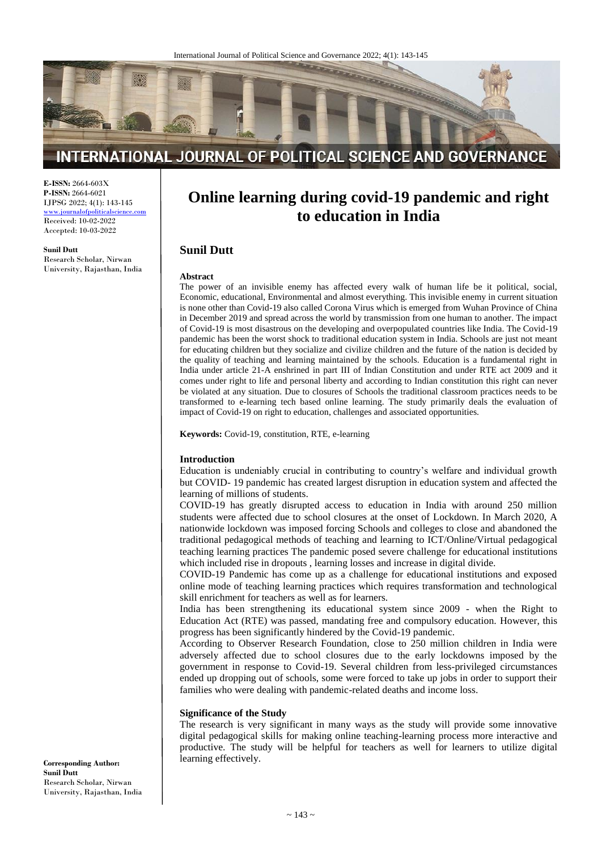

# INTERNATIONAL JOURNAL OF POLITICAL SCIENCE AND GOVERNANCE

**E-ISSN:** 2664-603X **P-ISSN:** 2664-6021 IJPSG 2022; 4(1): 143-145

www.journalofpoliticalscience. Received: 10-02-2022 Accepted: 10-03-2022

**Sunil Dutt**

Research Scholar, Nirwan University, Rajasthan, India

# **Online learning during covid-19 pandemic and right to education in India**

# **Sunil Dutt**

#### **Abstract**

The power of an invisible enemy has affected every walk of human life be it political, social, Economic, educational, Environmental and almost everything. This invisible enemy in current situation is none other than Covid-19 also called Corona Virus which is emerged from Wuhan Province of China in December 2019 and spread across the world by transmission from one human to another. The impact of Covid-19 is most disastrous on the developing and overpopulated countries like India. The Covid-19 pandemic has been the worst shock to traditional education system in India. Schools are just not meant for educating children but they socialize and civilize children and the future of the nation is decided by the quality of teaching and learning maintained by the schools. Education is a fundamental right in India under article 21-A enshrined in part III of Indian Constitution and under RTE act 2009 and it comes under right to life and personal liberty and according to Indian constitution this right can never be violated at any situation. Due to closures of Schools the traditional classroom practices needs to be transformed to e-learning tech based online learning. The study primarily deals the evaluation of impact of Covid-19 on right to education, challenges and associated opportunities.

**Keywords:** Covid-19, constitution, RTE, e-learning

#### **Introduction**

Education is undeniably crucial in contributing to country's welfare and individual growth but COVID- 19 pandemic has created largest disruption in education system and affected the learning of millions of students.

COVID-19 has greatly disrupted access to education in India with around 250 million students were affected due to school closures at the onset of Lockdown. In March 2020, A nationwide lockdown was imposed forcing Schools and colleges to close and abandoned the traditional pedagogical methods of teaching and learning to ICT/Online/Virtual pedagogical teaching learning practices The pandemic posed severe challenge for educational institutions which included rise in dropouts , learning losses and increase in digital divide.

COVID-19 Pandemic has come up as a challenge for educational institutions and exposed online mode of teaching learning practices which requires transformation and technological skill enrichment for teachers as well as for learners.

India has been strengthening its educational system since 2009 - when the Right to Education Act (RTE) was passed, mandating free and compulsory education. However, this progress has been significantly hindered by the Covid-19 pandemic.

According to Observer Research Foundation, close to 250 million children in India were adversely affected due to school closures due to the early lockdowns imposed by the government in response to Covid-19. Several children from less-privileged circumstances ended up dropping out of schools, some were forced to take up jobs in order to support their families who were dealing with pandemic-related deaths and income loss.

#### **Significance of the Study**

The research is very significant in many ways as the study will provide some innovative digital pedagogical skills for making online teaching-learning process more interactive and productive. The study will be helpful for teachers as well for learners to utilize digital learning effectively.

**Corresponding Author: Sunil Dutt** Research Scholar, Nirwan University, Rajasthan, India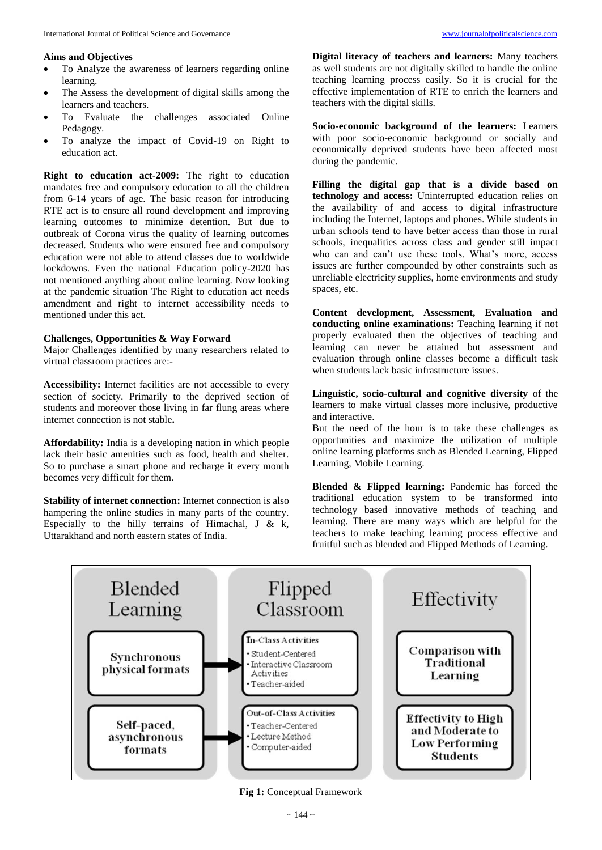- To Analyze the awareness of learners regarding online learning.
- The Assess the development of digital skills among the learners and teachers.
- To Evaluate the challenges associated Online Pedagogy.
- To analyze the impact of Covid-19 on Right to education act.

**Right to education act-2009:** The right to education mandates free and compulsory education to all the children from 6-14 years of age. The basic reason for introducing RTE act is to ensure all round development and improving learning outcomes to minimize detention. But due to outbreak of Corona virus the quality of learning outcomes decreased. Students who were ensured free and compulsory education were not able to attend classes due to worldwide lockdowns. Even the national Education policy-2020 has not mentioned anything about online learning. Now looking at the pandemic situation The Right to education act needs amendment and right to internet accessibility needs to mentioned under this act.

# **Challenges, Opportunities & Way Forward**

Major Challenges identified by many researchers related to virtual classroom practices are:-

**Accessibility:** Internet facilities are not accessible to every section of society. Primarily to the deprived section of students and moreover those living in far flung areas where internet connection is not stable**.**

**Affordability:** India is a developing nation in which people lack their basic amenities such as food, health and shelter. So to purchase a smart phone and recharge it every month becomes very difficult for them.

**Stability of internet connection:** Internet connection is also hampering the online studies in many parts of the country. Especially to the hilly terrains of Himachal,  $J \& k$ , Uttarakhand and north eastern states of India.

**Digital literacy of teachers and learners:** Many teachers as well students are not digitally skilled to handle the online teaching learning process easily. So it is crucial for the effective implementation of RTE to enrich the learners and teachers with the digital skills.

**Socio-economic background of the learners:** Learners with poor socio-economic background or socially and economically deprived students have been affected most during the pandemic.

**Filling the digital gap that is a divide based on technology and access:** Uninterrupted education relies on the availability of and access to digital infrastructure including the Internet, laptops and phones. While students in urban schools tend to have better access than those in rural schools, inequalities across class and gender still impact who can and can't use these tools. What's more, access issues are further compounded by other constraints such as unreliable electricity supplies, home environments and study spaces, etc.

**Content development, Assessment, Evaluation and conducting online examinations:** Teaching learning if not properly evaluated then the objectives of teaching and learning can never be attained but assessment and evaluation through online classes become a difficult task when students lack basic infrastructure issues.

**Linguistic, socio-cultural and cognitive diversity** of the learners to make virtual classes more inclusive, productive and interactive.

But the need of the hour is to take these challenges as opportunities and maximize the utilization of multiple online learning platforms such as Blended Learning, Flipped Learning, Mobile Learning.

**Blended & Flipped learning:** Pandemic has forced the traditional education system to be transformed into technology based innovative methods of teaching and learning. There are many ways which are helpful for the teachers to make teaching learning process effective and fruitful such as blended and Flipped Methods of Learning.



**Fig 1:** Conceptual Framework